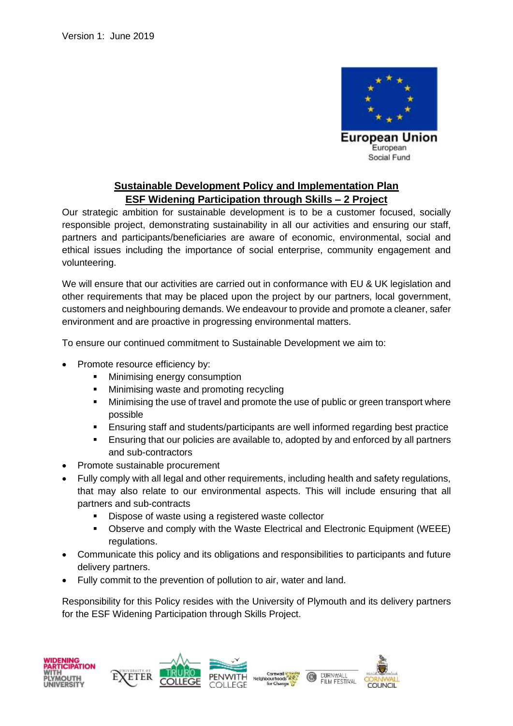

## **Sustainable Development Policy and Implementation Plan ESF Widening Participation through Skills – 2 Project**

Our strategic ambition for sustainable development is to be a customer focused, socially responsible project, demonstrating sustainability in all our activities and ensuring our staff, partners and participants/beneficiaries are aware of economic, environmental, social and ethical issues including the importance of social enterprise, community engagement and volunteering.

We will ensure that our activities are carried out in conformance with EU & UK legislation and other requirements that may be placed upon the project by our partners, local government, customers and neighbouring demands. We endeavour to provide and promote a cleaner, safer environment and are proactive in progressing environmental matters.

To ensure our continued commitment to Sustainable Development we aim to:

- Promote resource efficiency by:
	- Minimising energy consumption
	- Minimising waste and promoting recycling
	- Minimising the use of travel and promote the use of public or green transport where possible
	- Ensuring staff and students/participants are well informed regarding best practice
	- Ensuring that our policies are available to, adopted by and enforced by all partners and sub-contractors
- Promote sustainable procurement
- Fully comply with all legal and other requirements, including health and safety regulations, that may also relate to our environmental aspects. This will include ensuring that all partners and sub-contracts
	- Dispose of waste using a registered waste collector
	- Observe and comply with the Waste Electrical and Electronic Equipment (WEEE) regulations.
- Communicate this policy and its obligations and responsibilities to participants and future delivery partners.
- Fully commit to the prevention of pollution to air, water and land.

Responsibility for this Policy resides with the University of Plymouth and its delivery partners for the ESF Widening Participation through Skills Project.

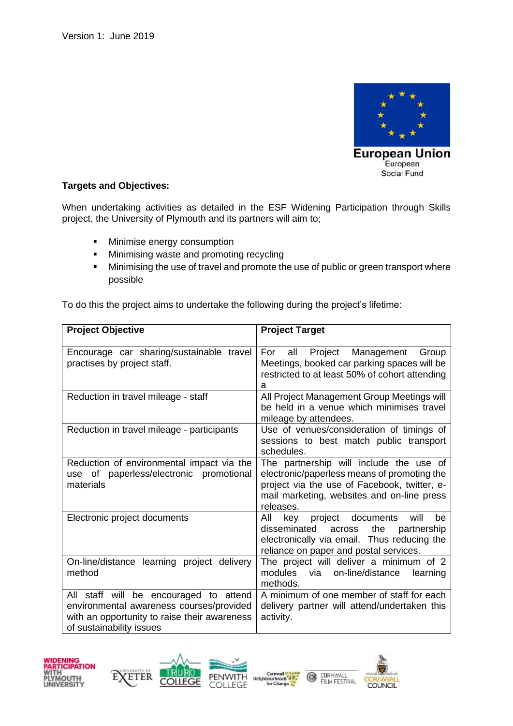

## **Targets and Objectives:**

When undertaking activities as detailed in the ESF Widening Participation through Skills project, the University of Plymouth and its partners will aim to;

- **■** Minimise energy consumption
- Minimising waste and promoting recycling
- **■** Minimising the use of travel and promote the use of public or green transport where possible

To do this the project aims to undertake the following during the project's lifetime:

| <b>Project Objective</b>                                                                                                                                       | <b>Project Target</b>                                                                                                                                                                             |
|----------------------------------------------------------------------------------------------------------------------------------------------------------------|---------------------------------------------------------------------------------------------------------------------------------------------------------------------------------------------------|
| Encourage car sharing/sustainable travel<br>practises by project staff.                                                                                        | Management<br>For<br>Project<br>Group<br>all<br>Meetings, booked car parking spaces will be<br>restricted to at least 50% of cohort attending<br>a                                                |
| Reduction in travel mileage - staff                                                                                                                            | All Project Management Group Meetings will<br>be held in a venue which minimises travel<br>mileage by attendees.                                                                                  |
| Reduction in travel mileage - participants                                                                                                                     | Use of venues/consideration of timings of<br>sessions to best match public transport<br>schedules.                                                                                                |
| Reduction of environmental impact via the<br>of paperless/electronic promotional<br>use<br>materials                                                           | The partnership will include the use of<br>electronic/paperless means of promoting the<br>project via the use of Facebook, twitter, e-<br>mail marketing, websites and on-line press<br>releases. |
| Electronic project documents                                                                                                                                   | All<br>will<br>key<br>project documents<br>be<br>disseminated<br>the<br>across<br>partnership<br>electronically via email. Thus reducing the<br>reliance on paper and postal services.            |
| On-line/distance learning project delivery<br>method                                                                                                           | The project will deliver a minimum of 2<br>on-line/distance<br>modules<br>via<br>learning<br>methods.                                                                                             |
| All staff will be encouraged to attend<br>environmental awareness courses/provided<br>with an opportunity to raise their awareness<br>of sustainability issues | A minimum of one member of staff for each<br>delivery partner will attend/undertaken this<br>activity.                                                                                            |











CORNWALL<br>FILM FESTIVAL